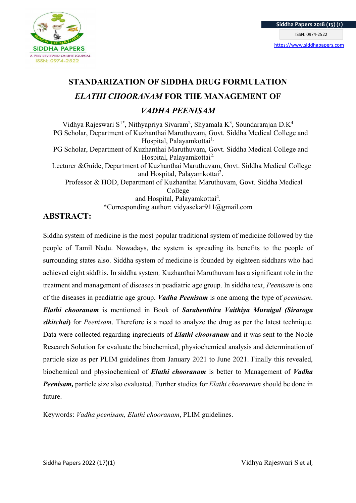

# STANDARIZATION OF SIDDHA DRUG FORMULATION ELATHI CHOORANAM FOR THE MANAGEMENT OF VADHA PEENISAM

Vidhya Rajeswari S<sup>1\*</sup>, Nithyapriya Sivaram<sup>2</sup>, Shyamala K<sup>3</sup>, Soundararajan D.K<sup>4</sup> PG Scholar, Department of Kuzhanthai Maruthuvam, Govt. Siddha Medical College and Hospital, Palayamkottai<sup>1.</sup> PG Scholar, Department of Kuzhanthai Maruthuvam, Govt. Siddha Medical College and Hospital, Palayamkottai<sup>2.</sup> Lecturer &Guide, Department of Kuzhanthai Maruthuvam, Govt. Siddha Medical College and Hospital, Palayamkottai<sup>3</sup>. Professor & HOD, Department of Kuzhanthai Maruthuvam, Govt. Siddha Medical College and Hospital, Palayamkottai<sup>4</sup>. \*Corresponding author: vidyasekar911@gmail.com

# ABSTRACT:

Siddha system of medicine is the most popular traditional system of medicine followed by the people of Tamil Nadu. Nowadays, the system is spreading its benefits to the people of surrounding states also. Siddha system of medicine is founded by eighteen siddhars who had achieved eight siddhis. In siddha system, Kuzhanthai Maruthuvam has a significant role in the treatment and management of diseases in peadiatric age group. In siddha text, Peenisam is one of the diseases in peadiatric age group. Vadha Peenisam is one among the type of peenisam. Elathi chooranam is mentioned in Book of Sarabenthira Vaithiya Muraigal (Siraroga sikitchai) for *Peenisam*. Therefore is a need to analyze the drug as per the latest technique. Data were collected regarding ingredients of **Elathi chooranam** and it was sent to the Noble Research Solution for evaluate the biochemical, physiochemical analysis and determination of particle size as per PLIM guidelines from January 2021 to June 2021. Finally this revealed, biochemical and physiochemical of **Elathi chooranam** is better to Management of *Vadha* **Peenisam,** particle size also evaluated. Further studies for *Elathi chooranam* should be done in future.

Keywords: Vadha peenisam, Elathi chooranam, PLIM guidelines.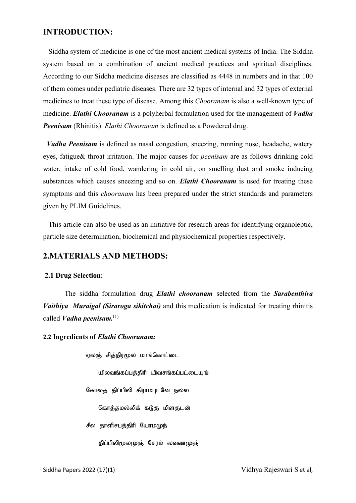# INTRODUCTION:

 Siddha system of medicine is one of the most ancient medical systems of India. The Siddha system based on a combination of ancient medical practices and spiritual disciplines. According to our Siddha medicine diseases are classified as 4448 in numbers and in that 100 of them comes under pediatric diseases. There are 32 types of internal and 32 types of external medicines to treat these type of disease. Among this Chooranam is also a well-known type of medicine. Elathi Chooranam is a polyherbal formulation used for the management of *Vadha* Peenisam (Rhinitis). Elathi Chooranam is defined as a Powdered drug.

 Vadha Peenisam is defined as nasal congestion, sneezing, running nose, headache, watery eyes, fatigue& throat irritation. The major causes for peenisam are as follows drinking cold water, intake of cold food, wandering in cold air, on smelling dust and smoke inducing substances which causes sneezing and so on. **Elathi Chooranam** is used for treating these symptoms and this *chooranam* has been prepared under the strict standards and parameters given by PLIM Guidelines.

 This article can also be used as an initiative for research areas for identifying organoleptic, particle size determination, biochemical and physiochemical properties respectively.

# 2.MATERIALS AND METHODS:

#### 2.1 Drug Selection:

The siddha formulation drug *Elathi chooranam* selected from the *Sarabenthira* Vaithiya Muraigal (Siraroga sikitchai) and this medication is indicated for treating rhinitis called *Vadha peenisam*.<sup>(1)</sup>

2.2 Ingredients of Elathi Chooranam:

ஏலஞ் சித்திரமூல மாங்கொட்டை யிலவங்கப்பத்திரி யிவசங்கப்பட்டையுங் கோலத் திப்பிலி கிராம்புடனே நல்ல கொத்தமல்லிக் கடுகு மிளகுடன் சீல தாளிசபத்திரி யோமமுந்

திப்பிலிமூலமுஞ் சேரம் லவணமுஞ்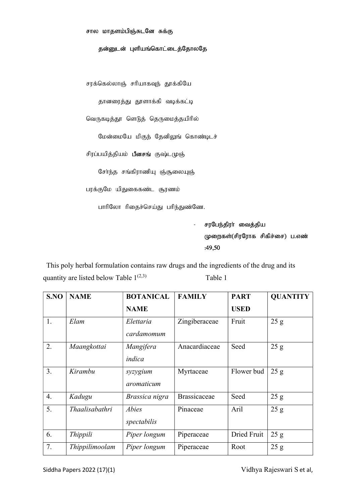#### தன்னுடன் புளியங்கொட்டைத்தோலதே

சரக்கெல்லாஞ் சரியாகவுந் தூக்கியே

தானரைத்து தூளாக்கி வடிக்கட்டி

வெருகடித்தூ ளெடுத் தெருமைத்தயிரில்

மேன்மையே மிகுந் தேனிலுங் கொண்டிடச்

சிரப்பயித்தியம் **பீனசங்** குஷ்டமுஞ்

சேர்ந்த சங்கிராணியு ஞ்சூலையுஞ்

பரக்குமே யிதுகைகண்ட சூரணம்

பாரிலோ ரிதைச்செய்து பரிந்துண்ணே.

சரபேந்திரா் வைத்திய முறைகள்(சிரரோக சிகிச்சை) ப.எண்  $:49,50$ 

 This poly herbal formulation contains raw drugs and the ingredients of the drug and its quantity are listed below Table  $1^{(2,3)}$  Table 1

| S.NO             | <b>NAME</b>    | <b>BOTANICAL</b>        | <b>FAMILY</b>       | <b>PART</b> | <b>QUANTITY</b> |
|------------------|----------------|-------------------------|---------------------|-------------|-----------------|
|                  |                | <b>NAME</b>             |                     | <b>USED</b> |                 |
| 1.               | Elam           | Elettaria<br>cardamomum | Zingiberaceae       | Fruit       | 25 g            |
| 2.               | Maangkottai    | Mangifera<br>indica     | Anacardiaceae       | Seed        | 25 g            |
| 3.               | Kirambu        | syzygium<br>aromaticum  | Myrtaceae           | Flower bud  | 25 g            |
| $\overline{4}$ . | Kadugu         | Brassica nigra          | <b>Brassicaceae</b> | Seed        | 25 g            |
| 5.               | Thaalisabathri | Abies<br>spectabilis    | Pinaceae            | Aril        | 25 g            |
| 6.               | Thippili       | Piper longum            | Piperaceae          | Dried Fruit | 25 g            |
| 7.               | Thippilimoolam | Piper longum            | Piperaceae          | Root        | 25 g            |

Siddha Papers 2022 (17)(1) Siddha Papers 2022 (17)(1)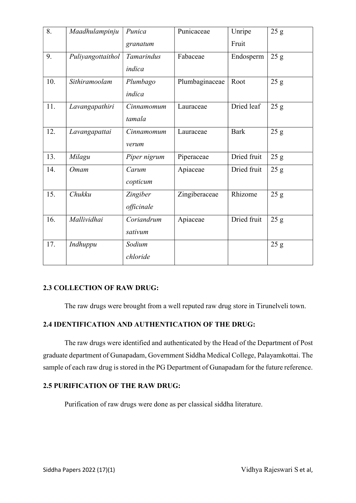| 8.  | Maadhulampinju    | Punica<br>granatum     | Punicaceae     | Unripe<br>Fruit | 25 g |
|-----|-------------------|------------------------|----------------|-----------------|------|
| 9.  | Puliyangottaithol | Tamarindus<br>indica   | Fabaceae       | Endosperm       | 25 g |
| 10. | Sithiramoolam     | Plumbago<br>indica     | Plumbaginaceae | Root            | 25 g |
| 11. | Lavangapathiri    | Cinnamomum<br>tamala   | Lauraceae      | Dried leaf      | 25 g |
| 12. | Lavangapattai     | Cinnamomum<br>verum    | Lauraceae      | <b>Bark</b>     | 25 g |
| 13. | Milagu            | Piper nigrum           | Piperaceae     | Dried fruit     | 25 g |
| 14. | Omam              | Carum<br>copticum      | Apiaceae       | Dried fruit     | 25 g |
| 15. | Chukku            | Zingiber<br>officinale | Zingiberaceae  | Rhizome         | 25 g |
| 16. | Mallividhai       | Coriandrum<br>sativum  | Apiaceae       | Dried fruit     | 25 g |
| 17. | Indhuppu          | Sodium<br>chloride     |                |                 | 25 g |

# 2.3 COLLECTION OF RAW DRUG:

The raw drugs were brought from a well reputed raw drug store in Tirunelveli town.

# 2.4 IDENTIFICATION AND AUTHENTICATION OF THE DRUG:

The raw drugs were identified and authenticated by the Head of the Department of Post graduate department of Gunapadam, Government Siddha Medical College, Palayamkottai. The sample of each raw drug is stored in the PG Department of Gunapadam for the future reference.

# 2.5 PURIFICATION OF THE RAW DRUG:

Purification of raw drugs were done as per classical siddha literature.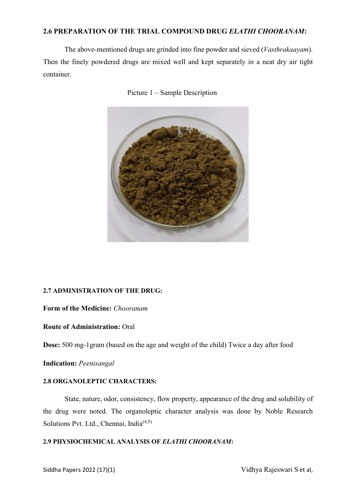## 2.6 PREPARATION OF THE TRIAL COMPOUND DRUG ELATHI CHOORANAM:

The above-mentioned drugs are grinded into fine powder and sieved (Vasthrakaayam). Then the finely powdered drugs are mixed well and kept separately in a neat dry air tight container.





# 2.7 ADMINISTRATION OF THE DRUG:

## Form of the Medicine: Chooranam

## Route of Administration: Oral

Dose: 500 mg-1gram (based on the age and weight of the child) Twice a day after food

Indication: Peenisangal

#### 2.8 ORGANOLEPTIC CHARACTERS:

 State, nature, odor, consistency, flow property, appearance of the drug and solubility of the drug were noted. The organoleptic character analysis was done by Noble Research Solutions Pvt. Ltd., Chennai, India<sup>(4,5)</sup>

## 2.9 PHYSIOCHEMICAL ANALYSIS OF ELATHI CHOORANAM: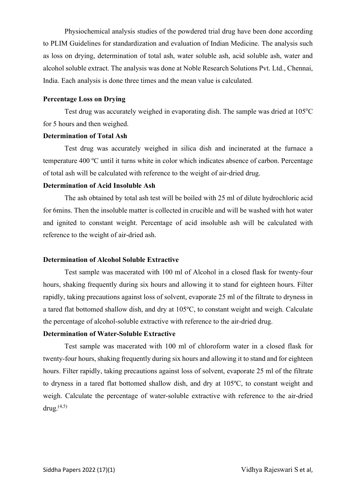Physiochemical analysis studies of the powdered trial drug have been done according to PLIM Guidelines for standardization and evaluation of Indian Medicine. The analysis such as loss on drying, determination of total ash, water soluble ash, acid soluble ash, water and alcohol soluble extract. The analysis was done at Noble Research Solutions Pvt. Ltd., Chennai, India. Each analysis is done three times and the mean value is calculated.

#### Percentage Loss on Drying

Test drug was accurately weighed in evaporating dish. The sample was dried at  $105^{\circ}$ C for 5 hours and then weighed.

## Determination of Total Ash

 Test drug was accurately weighed in silica dish and incinerated at the furnace a temperature 400 ºC until it turns white in color which indicates absence of carbon. Percentage of total ash will be calculated with reference to the weight of air-dried drug.

#### Determination of Acid Insoluble Ash

The ash obtained by total ash test will be boiled with 25 ml of dilute hydrochloric acid for 6mins. Then the insoluble matter is collected in crucible and will be washed with hot water and ignited to constant weight. Percentage of acid insoluble ash will be calculated with reference to the weight of air-dried ash.

#### Determination of Alcohol Soluble Extractive

Test sample was macerated with 100 ml of Alcohol in a closed flask for twenty-four hours, shaking frequently during six hours and allowing it to stand for eighteen hours. Filter rapidly, taking precautions against loss of solvent, evaporate 25 ml of the filtrate to dryness in a tared flat bottomed shallow dish, and dry at 105ºC, to constant weight and weigh. Calculate the percentage of alcohol-soluble extractive with reference to the air-dried drug.

#### Determination of Water-Soluble Extractive

Test sample was macerated with 100 ml of chloroform water in a closed flask for twenty-four hours, shaking frequently during six hours and allowing it to stand and for eighteen hours. Filter rapidly, taking precautions against loss of solvent, evaporate 25 ml of the filtrate to dryness in a tared flat bottomed shallow dish, and dry at 105ºC, to constant weight and weigh. Calculate the percentage of water-soluble extractive with reference to the air-dried drug. $(4,5)$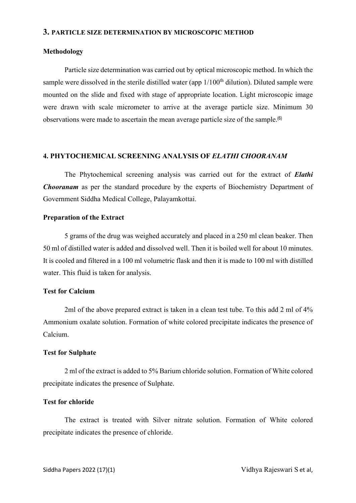#### 3. PARTICLE SIZE DETERMINATION BY MICROSCOPIC METHOD

#### Methodology

Particle size determination was carried out by optical microscopic method. In which the sample were dissolved in the sterile distilled water (app  $1/100<sup>th</sup>$  dilution). Diluted sample were mounted on the slide and fixed with stage of appropriate location. Light microscopic image were drawn with scale micrometer to arrive at the average particle size. Minimum 30 observations were made to ascertain the mean average particle size of the sample.<sup>(6)</sup>

#### 4. PHYTOCHEMICAL SCREENING ANALYSIS OF ELATHI CHOORANAM

The Phytochemical screening analysis was carried out for the extract of *Elathi* Chooranam as per the standard procedure by the experts of Biochemistry Department of Government Siddha Medical College, Palayamkottai.

#### Preparation of the Extract

5 grams of the drug was weighed accurately and placed in a 250 ml clean beaker. Then 50 ml of distilled water is added and dissolved well. Then it is boiled well for about 10 minutes. It is cooled and filtered in a 100 ml volumetric flask and then it is made to 100 ml with distilled water. This fluid is taken for analysis.

## Test for Calcium

2ml of the above prepared extract is taken in a clean test tube. To this add 2 ml of 4% Ammonium oxalate solution. Formation of white colored precipitate indicates the presence of Calcium.

#### Test for Sulphate

2 ml of the extract is added to 5% Barium chloride solution. Formation of White colored precipitate indicates the presence of Sulphate.

## Test for chloride

The extract is treated with Silver nitrate solution. Formation of White colored precipitate indicates the presence of chloride.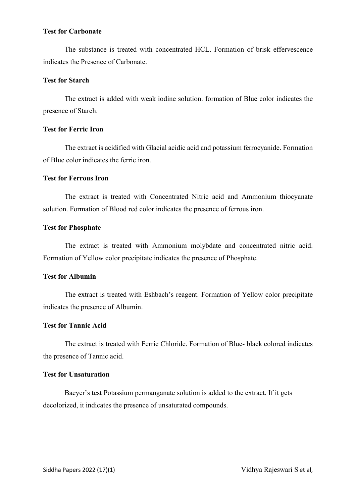## Test for Carbonate

The substance is treated with concentrated HCL. Formation of brisk effervescence indicates the Presence of Carbonate.

### Test for Starch

The extract is added with weak iodine solution. formation of Blue color indicates the presence of Starch.

## Test for Ferric Iron

The extract is acidified with Glacial acidic acid and potassium ferrocyanide. Formation of Blue color indicates the ferric iron.

### Test for Ferrous Iron

The extract is treated with Concentrated Nitric acid and Ammonium thiocyanate solution. Formation of Blood red color indicates the presence of ferrous iron.

#### Test for Phosphate

The extract is treated with Ammonium molybdate and concentrated nitric acid. Formation of Yellow color precipitate indicates the presence of Phosphate.

#### Test for Albumin

The extract is treated with Eshbach's reagent. Formation of Yellow color precipitate indicates the presence of Albumin.

## Test for Tannic Acid

The extract is treated with Ferric Chloride. Formation of Blue- black colored indicates the presence of Tannic acid.

## Test for Unsaturation

Baeyer's test Potassium permanganate solution is added to the extract. If it gets decolorized, it indicates the presence of unsaturated compounds.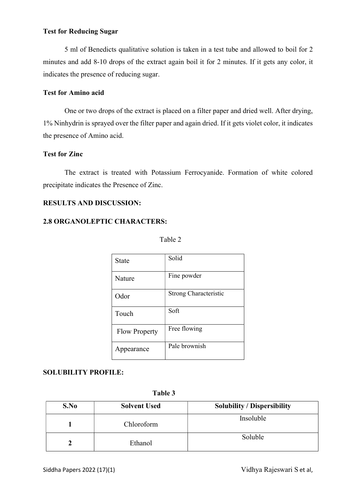## Test for Reducing Sugar

5 ml of Benedicts qualitative solution is taken in a test tube and allowed to boil for 2 minutes and add 8-10 drops of the extract again boil it for 2 minutes. If it gets any color, it indicates the presence of reducing sugar.

# Test for Amino acid

One or two drops of the extract is placed on a filter paper and dried well. After drying, 1% Ninhydrin is sprayed over the filter paper and again dried. If it gets violet color, it indicates the presence of Amino acid.

# Test for Zinc

The extract is treated with Potassium Ferrocyanide. Formation of white colored precipitate indicates the Presence of Zinc.

## RESULTS AND DISCUSSION:

# 2.8 ORGANOLEPTIC CHARACTERS:

| <b>State</b>         | Solid                        |
|----------------------|------------------------------|
| Nature               | Fine powder                  |
| Odor                 | <b>Strong Characteristic</b> |
| Touch                | Soft                         |
| <b>Flow Property</b> | Free flowing                 |
| Appearance           | Pale brownish                |

## SOLUBILITY PROFILE:

|  | Table 3 |
|--|---------|
|--|---------|

| S.No | <b>Solvent Used</b> | <b>Solubility / Dispersibility</b> |
|------|---------------------|------------------------------------|
|      | Chloroform          | Insoluble                          |
|      | Ethanol             | Soluble                            |

Siddha Papers 2022 (17)(1) Siddha Papers 2022 (17)(1)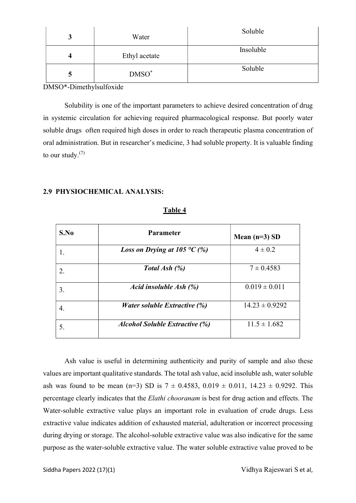| Water         | Soluble   |
|---------------|-----------|
| Ethyl acetate | Insoluble |
| $DMSO^*$      | Soluble   |

DMSO\*-Dimethylsulfoxide

Solubility is one of the important parameters to achieve desired concentration of drug in systemic circulation for achieving required pharmacological response. But poorly water soluble drugs often required high doses in order to reach therapeutic plasma concentration of oral administration. But in researcher's medicine, 3 had soluble property. It is valuable finding to our study. $(7)$ 

#### 2.9 PHYSIOCHEMICAL ANALYSIS:

| S.No | <b>Parameter</b>                             | Mean $(n=3)$ SD    |
|------|----------------------------------------------|--------------------|
|      | <i>Loss on Drying at 105</i> $\degree$ C (%) | $4 \pm 0.2$        |
|      | Total Ash (%)                                | $7 \pm 0.4583$     |
| 3.   | Acid insoluble Ash (%)                       | $0.019 \pm 0.011$  |
| 4.   | <i>Water soluble Extractive (%)</i>          | $14.23 \pm 0.9292$ |
| 5.   | <b>Alcohol Soluble Extractive (%)</b>        | $11.5 \pm 1.682$   |

## Table 4

Ash value is useful in determining authenticity and purity of sample and also these values are important qualitative standards. The total ash value, acid insoluble ash, water soluble ash was found to be mean (n=3) SD is  $7 \pm 0.4583$ ,  $0.019 \pm 0.011$ ,  $14.23 \pm 0.9292$ . This percentage clearly indicates that the Elathi chooranam is best for drug action and effects. The Water-soluble extractive value plays an important role in evaluation of crude drugs. Less extractive value indicates addition of exhausted material, adulteration or incorrect processing during drying or storage. The alcohol-soluble extractive value was also indicative for the same purpose as the water-soluble extractive value. The water soluble extractive value proved to be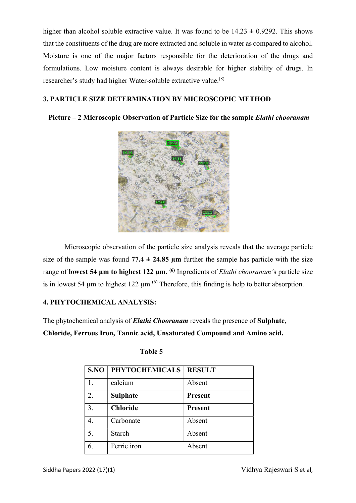higher than alcohol soluble extractive value. It was found to be  $14.23 \pm 0.9292$ . This shows that the constituents of the drug are more extracted and soluble in water as compared to alcohol. Moisture is one of the major factors responsible for the deterioration of the drugs and formulations. Low moisture content is always desirable for higher stability of drugs. In researcher's study had higher Water-soluble extractive value.(8)

# 3. PARTICLE SIZE DETERMINATION BY MICROSCOPIC METHOD

# Picture – 2 Microscopic Observation of Particle Size for the sample Elathi chooranam



Microscopic observation of the particle size analysis reveals that the average particle size of the sample was found  $77.4 \pm 24.85$  µm further the sample has particle with the size range of lowest 54  $\mu$ m to highest 122  $\mu$ m. <sup>(6)</sup> Ingredients of *Elathi chooranam's* particle size is in lowest 54  $\mu$ m to highest 122  $\mu$ m.<sup>(6)</sup> Therefore, this finding is help to better absorption.

# 4. PHYTOCHEMICAL ANALYSIS:

The phytochemical analysis of **Elathi Chooranam** reveals the presence of **Sulphate**, Chloride, Ferrous Iron, Tannic acid, Unsaturated Compound and Amino acid.

| S.NO | <b>PHYTOCHEMICALS</b> | <b>RESULT</b>  |
|------|-----------------------|----------------|
|      | calcium               | Absent         |
| 2.   | <b>Sulphate</b>       | <b>Present</b> |
| 3.   | <b>Chloride</b>       | <b>Present</b> |
| 4.   | Carbonate             | Absent         |
| 5.   | <b>Starch</b>         | Absent         |
| 6.   | Ferric iron           | Absent         |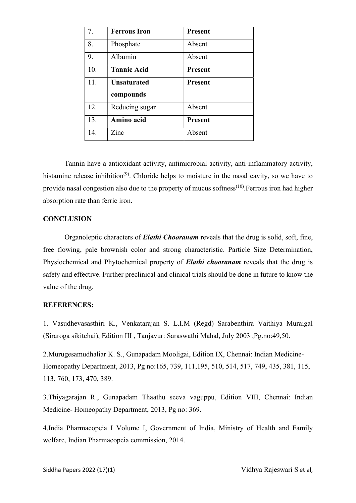| 7.  | <b>Ferrous Iron</b> | <b>Present</b> |
|-----|---------------------|----------------|
| 8.  | Phosphate           | Absent         |
| 9.  | Albumin             | Absent         |
| 10. | <b>Tannic Acid</b>  | <b>Present</b> |
| 11. | <b>Unsaturated</b>  | <b>Present</b> |
|     | compounds           |                |
| 12. | Reducing sugar      | Absent         |
| 13. | Amino acid          | <b>Present</b> |
| 14. | Zinc                | Absent         |

Tannin have a antioxidant activity, antimicrobial activity, anti-inflammatory activity, histamine release inhibition<sup>(9)</sup>. Chloride helps to moisture in the nasal cavity, so we have to provide nasal congestion also due to the property of mucus softness<sup>(10)</sup>. Ferrous iron had higher absorption rate than ferric iron.

## **CONCLUSION**

Organoleptic characters of **Elathi Chooranam** reveals that the drug is solid, soft, fine, free flowing, pale brownish color and strong characteristic. Particle Size Determination, Physiochemical and Phytochemical property of *Elathi chooranam* reveals that the drug is safety and effective. Further preclinical and clinical trials should be done in future to know the value of the drug.

#### REFERENCES:

1. Vasudhevasasthiri K., Venkatarajan S. L.I.M (Regd) Sarabenthira Vaithiya Muraigal (Siraroga sikitchai), Edition III , Tanjavur: Saraswathi Mahal, July 2003 ,Pg.no:49,50.

2.Murugesamudhaliar K. S., Gunapadam Mooligai, Edition IX, Chennai: Indian Medicine-Homeopathy Department, 2013, Pg no:165, 739, 111,195, 510, 514, 517, 749, 435, 381, 115, 113, 760, 173, 470, 389.

3.Thiyagarajan R., Gunapadam Thaathu seeva vaguppu, Edition VIII, Chennai: Indian Medicine- Homeopathy Department, 2013, Pg no: 369.

4.India Pharmacopeia I Volume I, Government of India, Ministry of Health and Family welfare, Indian Pharmacopeia commission, 2014.